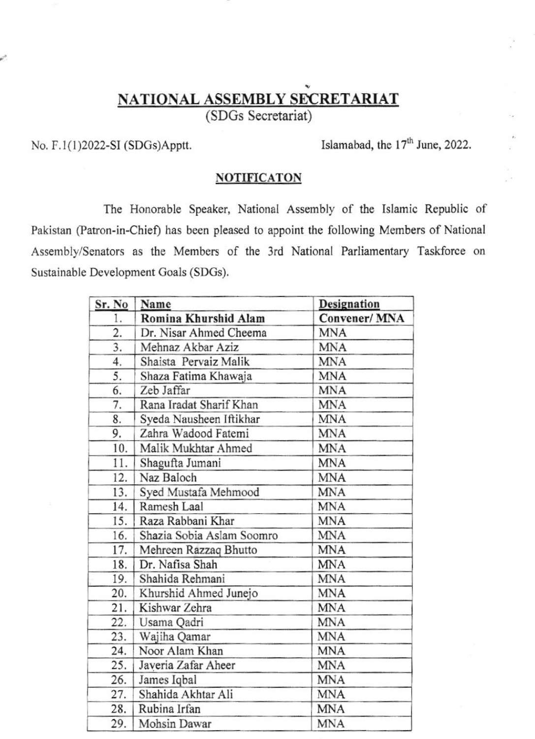## NATIONAL ASSEMBLY SECRETARIAT

(SDGs Secretariat)

No.  $F.1(1)2022-SI(SDGs)Apptt.$  Islamabad, the 17<sup>th</sup> June, 2022.

## **NOTIFICATON**

The Honorable Speaker, National Assembly of the Islamic Republic of Pakistan (Patron-in-Chief) has been pleased to appoint the following Members of National Assembly/Senators as the Members of the 3rd National Parliamentary Taskforce on Sustainable Development Goals (SDGS).

| Sr. No | Name                      | Designation  |
|--------|---------------------------|--------------|
| 1.     | Romina Khurshid Alam      | Convener/MNA |
| 2.     | Dr. Nisar Ahmed Cheema    | <b>MNA</b>   |
| 3.     | Mehnaz Akbar Aziz         | <b>MNA</b>   |
| 4.     | Shaista Pervaiz Malik     | <b>MNA</b>   |
| 5.     | Shaza Fatima Khawaja      | <b>MNA</b>   |
| 6.     | Zeb Jaffar                | <b>MNA</b>   |
| 7.     | Rana Iradat Sharif Khan   | <b>MNA</b>   |
| 8.     | Syeda Nausheen Iftikhar   | <b>MNA</b>   |
| 9.     | Zahra Wadood Fatemi       | <b>MNA</b>   |
| 10.    | Malik Mukhtar Ahmed       | <b>MNA</b>   |
| 11.    | Shagufta Jumani           | <b>MNA</b>   |
| 12.    | Naz Baloch                | <b>MNA</b>   |
| 13.    | Syed Mustafa Mehmood      | <b>MNA</b>   |
| 14.    | Ramesh Laal               | <b>MNA</b>   |
| 15.    | Raza Rabbani Khar         | <b>MNA</b>   |
| 16.    | Shazia Sobia Aslam Soomro | <b>MNA</b>   |
| 17.    | Mehreen Razzaq Bhutto     | <b>MNA</b>   |
| 18.    | Dr. Nafisa Shah           | <b>MNA</b>   |
| 19.    | Shahida Rehmani           | <b>MNA</b>   |
| 20.    | Khurshid Ahmed Junejo     | <b>MNA</b>   |
| 21.    | Kishwar Zehra             | <b>MNA</b>   |
| 22.    | Usama Qadri               | <b>MNA</b>   |
| 23.    | Wajiha Qamar              | <b>MNA</b>   |
| 24.    | Noor Alam Khan            | <b>MNA</b>   |
| 25.    | Javeria Zafar Aheer       | <b>MNA</b>   |
| 26.    | James Iqbal               | <b>MNA</b>   |
| 27.    | Shahida Akhtar Ali        | <b>MNA</b>   |
| 28.    | Rubina Irfan              | <b>MNA</b>   |
| 29.    | Mohsin Dawar              | <b>MNA</b>   |